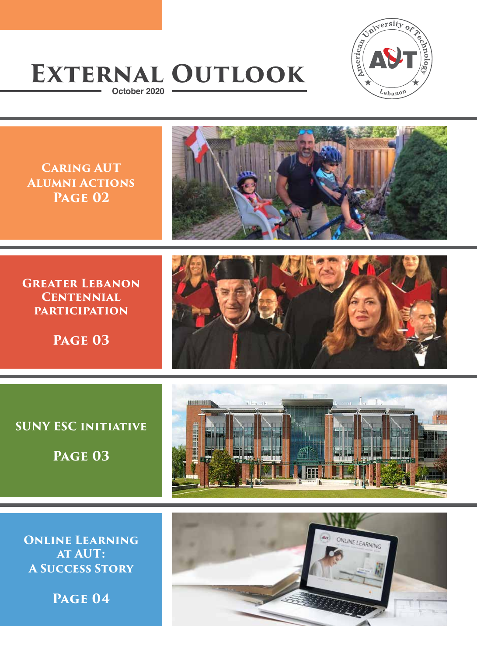

# **External Outlook October 2020**

**Caring AUT Alumni Actions Page 02**



**GREATER LEBANON Centennial participation**

**Page 03**



### **SUNY ESC initiative**

**Page 03**



**Online Learning at AUT: A Success Story**

**Page 04**

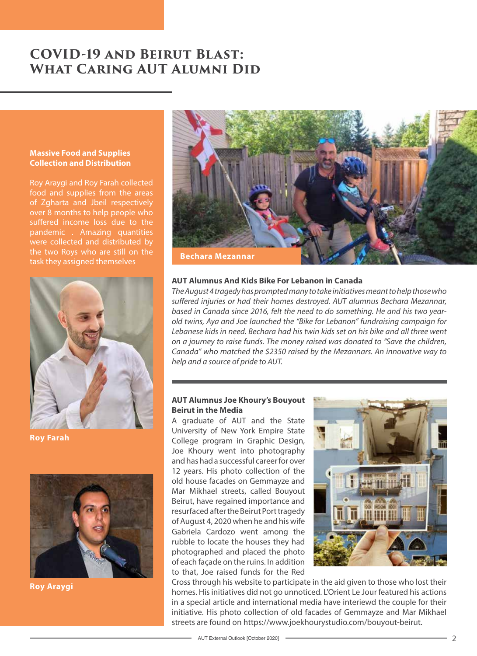# **COVID-19 and Beirut Blast: What Caring AUT Alumni Did**

#### **Massive Food and Supplies Collection and Distribution**

Roy Araygi and Roy Farah collected food and supplies from the areas of Zgharta and Jbeil respectively over 8 months to help people who suffered income loss due to the pandemic . Amazing quantities were collected and distributed by the two Roys who are still on the task they assigned themselves



**Roy Farah**



**Roy Araygi**



#### **AUT Alumnus And Kids Bike For Lebanon in Canada**

*The August 4 tragedy has prompted many to take initiatives meant to help those who suffered injuries or had their homes destroyed. AUT alumnus Bechara Mezannar, based in Canada since 2016, felt the need to do something. He and his two yearold twins, Aya and Joe launched the "Bike for Lebanon" fundraising campaign for Lebanese kids in need. Bechara had his twin kids set on his bike and all three went on a journey to raise funds. The money raised was donated to "Save the children, Canada" who matched the \$2350 raised by the Mezannars. An innovative way to help and a source of pride to AUT.*

#### **AUT Alumnus Joe Khoury's Bouyout Beirut in the Media**

A graduate of AUT and the State University of New York Empire State College program in Graphic Design, Joe Khoury went into photography and has had a successful career for over 12 years. His photo collection of the old house facades on Gemmayze and Mar Mikhael streets, called Bouyout Beirut, have regained importance and resurfaced after the Beirut Port tragedy of August 4, 2020 when he and his wife Gabriela Cardozo went among the rubble to locate the houses they had photographed and placed the photo of each façade on the ruins. In addition to that, Joe raised funds for the Red



Cross through his website to participate in the aid given to those who lost their homes. His initiatives did not go unnoticed. L'Orient Le Jour featured his actions in a special article and international media have interiewd the couple for their initiative. His photo collection of old facades of Gemmayze and Mar Mikhael streets are found on https://www.joekhourystudio.com/bouyout-beirut.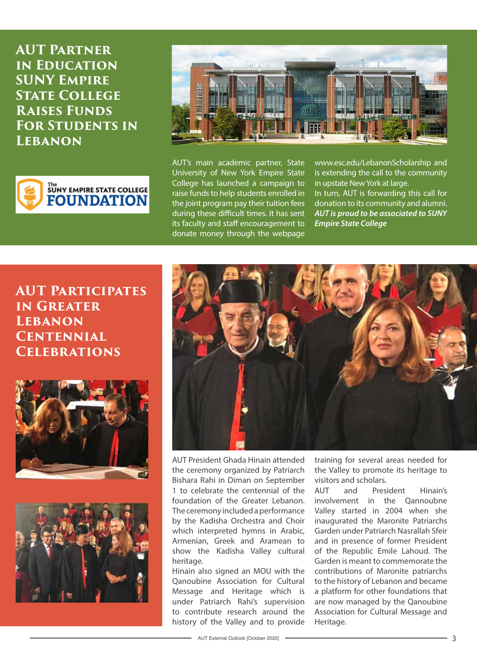**AUT Partner in Education SUNY Empire STATE COLLEGE Raises Funds For Students in Lebanon**





AUT's main academic partner, State University of New York Empire State College has launched a campaign to raise funds to help students enrolled in the joint program pay their tuition fees during these difficult times. It has sent its faculty and staff encouragement to donate money through the webpage

www.esc.edu/LebanonScholarship and is extending the call to the community in upstate New York at large. In turn, AUT is forwarding this call for donation to its community and alumni. *AUT is proud to be associated to SUNY Empire State College*

# **AUT Participates IN GREATER Lebanon Centennial Celebrations**







AUT President Ghada Hinain attended the ceremony organized by Patriarch Bishara Rahi in Diman on September 1 to celebrate the centennial of the foundation of the Greater Lebanon. The ceremony included a performance by the Kadisha Orchestra and Choir which interpreted hymns in Arabic, Armenian, Greek and Aramean to show the Kadisha Valley cultural heritage.

Hinain also signed an MOU with the Qanoubine Association for Cultural Message and Heritage which is under Patriarch Rahi's supervision to contribute research around the history of the Valley and to provide

training for several areas needed for the Valley to promote its heritage to visitors and scholars.

AUT and President Hinain's involvement in the Qannoubne Valley started in 2004 when she inaugurated the Maronite Patriarchs Garden under Patriarch Nasrallah Sfeir and in presence of former President of the Republic Emile Lahoud. The Garden is meant to commemorate the contributions of Maronite patriarchs to the history of Lebanon and became a platform for other foundations that are now managed by the Qanoubine Association for Cultural Message and Heritage.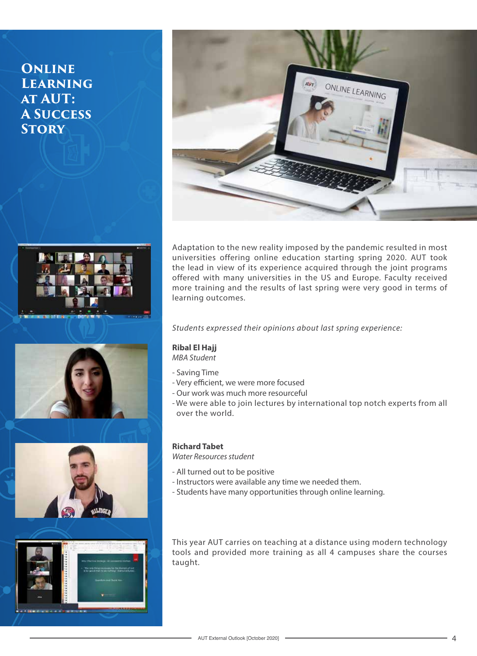# **Online Learning at AUT: A Success Story**











Adaptation to the new reality imposed by the pandemic resulted in most universities offering online education starting spring 2020. AUT took the lead in view of its experience acquired through the joint programs offered with many universities in the US and Europe. Faculty received more training and the results of last spring were very good in terms of learning outcomes.

*Students expressed their opinions about last spring experience:*

#### **Ribal El Hajj**

*MBA Student*

- Saving Time
- Very efficient, we were more focused
- Our work was much more resourceful
- We were able to join lectures by international top notch experts from all over the world.

#### **Richard Tabet**

*Water Resources student*

- All turned out to be positive
- Instructors were available any time we needed them.
- Students have many opportunities through online learning.

This year AUT carries on teaching at a distance using modern technology tools and provided more training as all 4 campuses share the courses taught.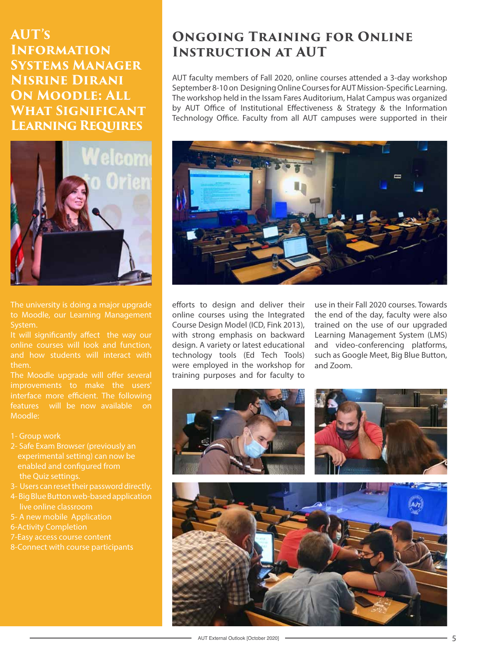**AUT's Information Systems Manager Nisrine Dirani On Moodle: All What Significant Learning Requires**



The university is doing a major upgrade to Moodle, our Learning Management System.

It will significantly affect the way our online courses will look and function, and how students will interact with them.

The Moodle upgrade will offer several improvements to make the users' interface more efficient. The following features will be now available on Moodle:

- 1- Group work
- 2- Safe Exam Browser (previously an experimental setting) can now be enabled and configured from the Quiz settings.
- 3- Users can reset their password directly.
- 4- Big Blue Button web-based application live online classroom
- 5- A new mobile Application
- 6-Activity Completion
- 7-Easy access course content
- 8-Connect with course participants

# **Ongoing Training for Online Instruction at AUT**

AUT faculty members of Fall 2020, online courses attended a 3-day workshop September 8-10 on Designing Online Courses for AUT Mission-Specific Learning. The workshop held in the Issam Fares Auditorium, Halat Campus was organized by AUT Office of Institutional Effectiveness & Strategy & the Information Technology Office. Faculty from all AUT campuses were supported in their



efforts to design and deliver their online courses using the Integrated Course Design Model (ICD, Fink 2013), with strong emphasis on backward design. A variety or latest educational technology tools (Ed Tech Tools) were employed in the workshop for training purposes and for faculty to

use in their Fall 2020 courses. Towards the end of the day, faculty were also trained on the use of our upgraded Learning Management System (LMS) and video-conferencing platforms, such as Google Meet, Big Blue Button, and Zoom.